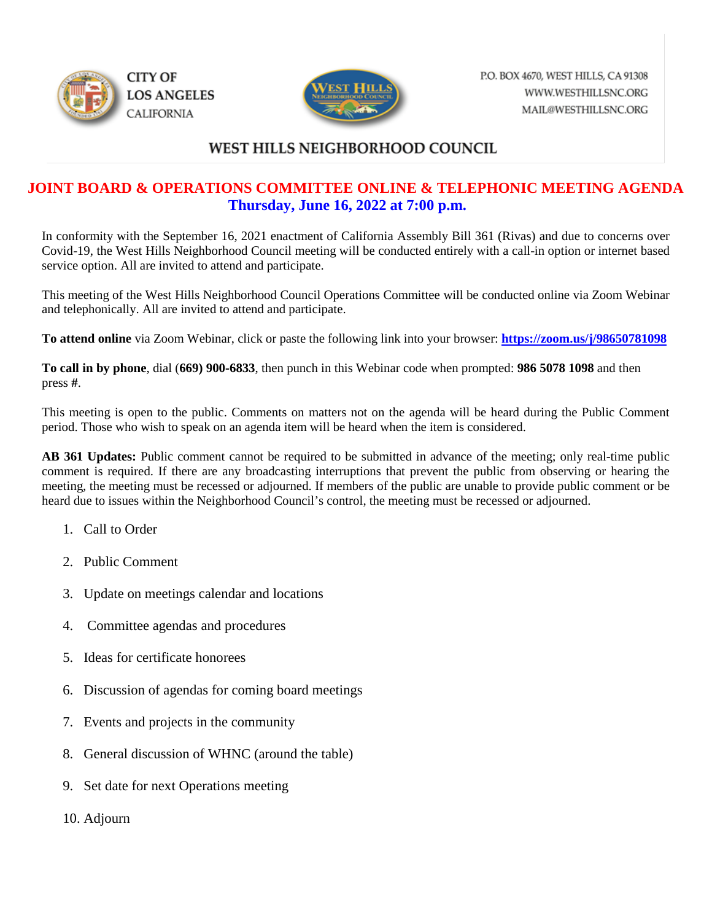



## WEST HILLS NEIGHBORHOOD COUNCIL

## **JOINT BOARD & OPERATIONS COMMITTEE ONLINE & TELEPHONIC MEETING AGENDA Thursday, June 16, 2022 at 7:00 p.m.**

In conformity with the September 16, 2021 enactment of California Assembly Bill 361 (Rivas) and due to concerns over Covid-19, the West Hills Neighborhood Council meeting will be conducted entirely with a call-in option or internet based service option. All are invited to attend and participate.

This meeting of the West Hills Neighborhood Council Operations Committee will be conducted online via Zoom Webinar and telephonically. All are invited to attend and participate.

**To attend online** via Zoom Webinar, click or paste the following link into your browser: **<https://zoom.us/j/98650781098>**

**To call in by phone**, dial (**669) 900-6833**, then punch in this Webinar code when prompted: **986 5078 1098** and then press **#**.

This meeting is open to the public. Comments on matters not on the agenda will be heard during the Public Comment period. Those who wish to speak on an agenda item will be heard when the item is considered.

**AB 361 Updates:** Public comment cannot be required to be submitted in advance of the meeting; only real-time public comment is required. If there are any broadcasting interruptions that prevent the public from observing or hearing the meeting, the meeting must be recessed or adjourned. If members of the public are unable to provide public comment or be heard due to issues within the Neighborhood Council's control, the meeting must be recessed or adjourned.

- 1. Call to Order
- 2. Public Comment
- 3. Update on meetings calendar and locations
- 4. Committee agendas and procedures
- 5. Ideas for certificate honorees
- 6. Discussion of agendas for coming board meetings
- 7. Events and projects in the community
- 8. General discussion of WHNC (around the table)
- 9. Set date for next Operations meeting
- 10. Adjourn